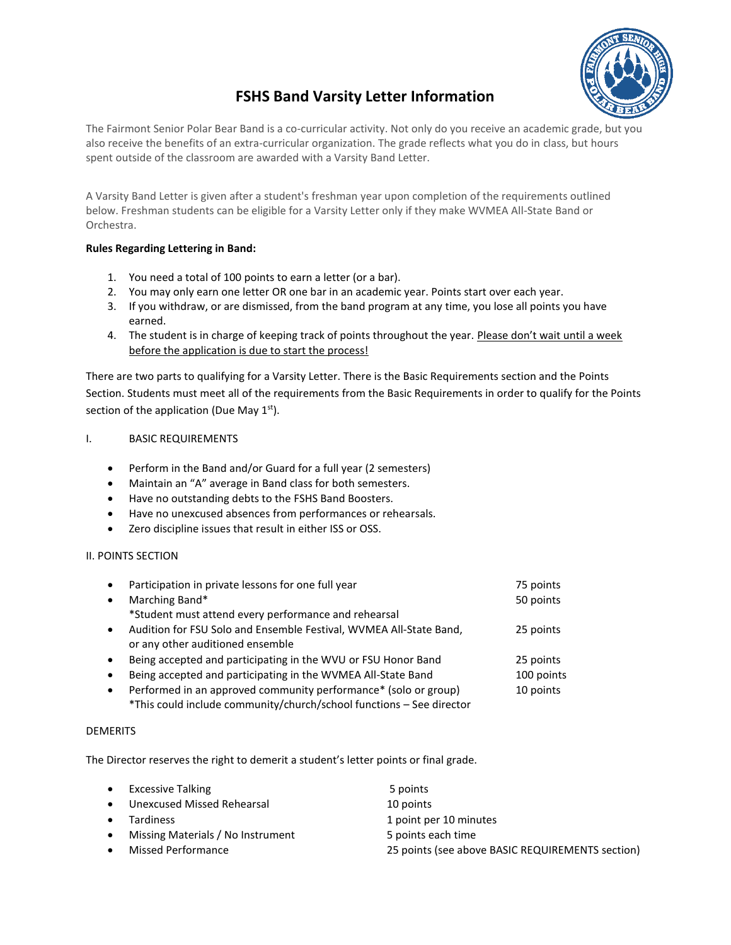

# **FSHS Band Varsity Letter Information**

The Fairmont Senior Polar Bear Band is a co-curricular activity. Not only do you receive an academic grade, but you also receive the benefits of an extra-curricular organization. The grade reflects what you do in class, but hours spent outside of the classroom are awarded with a Varsity Band Letter.

A Varsity Band Letter is given after a student's freshman year upon completion of the requirements outlined below. Freshman students can be eligible for a Varsity Letter only if they make WVMEA All-State Band or Orchestra.

#### **Rules Regarding Lettering in Band:**

- 1. You need a total of 100 points to earn a letter (or a bar).
- 2. You may only earn one letter OR one bar in an academic year. Points start over each year.
- 3. If you withdraw, or are dismissed, from the band program at any time, you lose all points you have earned.
- 4. The student is in charge of keeping track of points throughout the year. Please don't wait until a week before the application is due to start the process!

There are two parts to qualifying for a Varsity Letter. There is the Basic Requirements section and the Points Section. Students must meet all of the requirements from the Basic Requirements in order to qualify for the Points section of the application (Due May  $1<sup>st</sup>$ ).

### I. BASIC REQUIREMENTS

- Perform in the Band and/or Guard for a full year (2 semesters)
- Maintain an "A" average in Band class for both semesters.
- Have no outstanding debts to the FSHS Band Boosters.
- Have no unexcused absences from performances or rehearsals.
- Zero discipline issues that result in either ISS or OSS.

#### II. POINTS SECTION

| $\bullet$ | Participation in private lessons for one full year                                                     | 75 points  |
|-----------|--------------------------------------------------------------------------------------------------------|------------|
| $\bullet$ | Marching Band*                                                                                         | 50 points  |
|           | *Student must attend every performance and rehearsal                                                   |            |
| $\bullet$ | Audition for FSU Solo and Ensemble Festival, WVMEA All-State Band,<br>or any other auditioned ensemble | 25 points  |
| $\bullet$ | Being accepted and participating in the WVU or FSU Honor Band                                          | 25 points  |
| $\bullet$ | Being accepted and participating in the WVMEA All-State Band                                           | 100 points |
| $\bullet$ | Performed in an approved community performance* (solo or group)                                        | 10 points  |

\*This could include community/church/school functions – See director

#### DEMERITS

The Director reserves the right to demerit a student's letter points or final grade.

| $\bullet$ | <b>Excessive Talking</b>          | 5 points                                         |
|-----------|-----------------------------------|--------------------------------------------------|
| $\bullet$ | Unexcused Missed Rehearsal        | 10 points                                        |
| $\bullet$ | <b>Tardiness</b>                  | 1 point per 10 minutes                           |
| $\bullet$ | Missing Materials / No Instrument | 5 points each time                               |
| $\bullet$ | Missed Performance                | 25 points (see above BASIC REQUIREMENTS section) |
|           |                                   |                                                  |